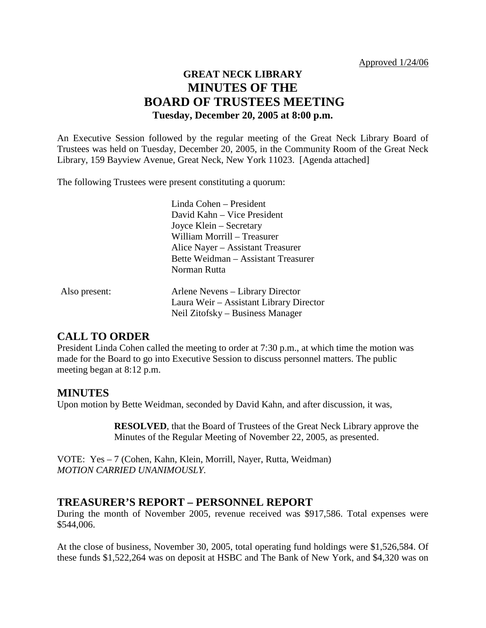# **GREAT NECK LIBRARY MINUTES OF THE BOARD OF TRUSTEES MEETING Tuesday, December 20, 2005 at 8:00 p.m.**

An Executive Session followed by the regular meeting of the Great Neck Library Board of Trustees was held on Tuesday, December 20, 2005, in the Community Room of the Great Neck Library, 159 Bayview Avenue, Great Neck, New York 11023. [Agenda attached]

The following Trustees were present constituting a quorum:

|               | Linda Cohen - President                 |
|---------------|-----------------------------------------|
|               | David Kahn – Vice President             |
|               | Joyce Klein – Secretary                 |
|               | William Morrill – Treasurer             |
|               | Alice Nayer – Assistant Treasurer       |
|               | Bette Weidman - Assistant Treasurer     |
|               | Norman Rutta                            |
| Also present: | Arlene Nevens – Library Director        |
|               | Laura Weir – Assistant Library Director |
|               | Neil Zitofsky – Business Manager        |

# **CALL TO ORDER**

President Linda Cohen called the meeting to order at 7:30 p.m., at which time the motion was made for the Board to go into Executive Session to discuss personnel matters. The public meeting began at 8:12 p.m.

# **MINUTES**

Upon motion by Bette Weidman, seconded by David Kahn, and after discussion, it was,

**RESOLVED**, that the Board of Trustees of the Great Neck Library approve the Minutes of the Regular Meeting of November 22, 2005, as presented.

VOTE:Yes – 7 (Cohen, Kahn, Klein, Morrill, Nayer, Rutta, Weidman) *MOTION CARRIED UNANIMOUSLY.*

#### **TREASURER'S REPORT – PERSONNEL REPORT**

During the month of November 2005, revenue received was \$917,586. Total expenses were \$544,006.

At the close of business, November 30, 2005, total operating fund holdings were \$1,526,584. Of these funds \$1,522,264 was on deposit at HSBC and The Bank of New York, and \$4,320 was on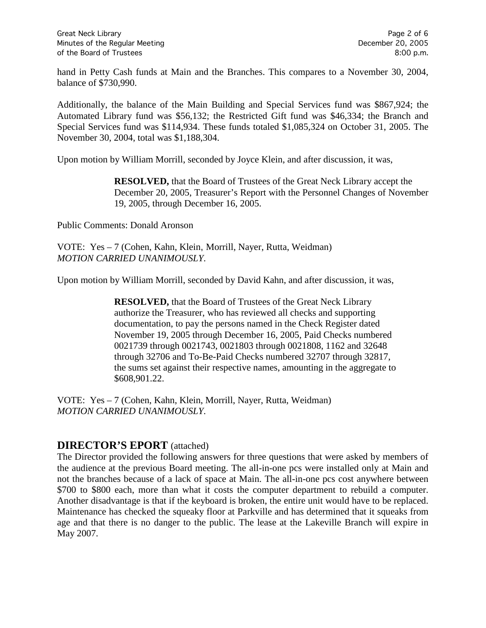hand in Petty Cash funds at Main and the Branches. This compares to a November 30, 2004, balance of \$730,990.

Additionally, the balance of the Main Building and Special Services fund was \$867,924; the Automated Library fund was \$56,132; the Restricted Gift fund was \$46,334; the Branch and Special Services fund was \$114,934. These funds totaled \$1,085,324 on October 31, 2005. The November 30, 2004, total was \$1,188,304.

Upon motion by William Morrill, seconded by Joyce Klein, and after discussion, it was,

**RESOLVED,** that the Board of Trustees of the Great Neck Library accept the December 20, 2005, Treasurer's Report with the Personnel Changes of November 19, 2005, through December 16, 2005.

Public Comments: Donald Aronson

VOTE:Yes – 7 (Cohen, Kahn, Klein, Morrill, Nayer, Rutta, Weidman) *MOTION CARRIED UNANIMOUSLY.*

Upon motion by William Morrill, seconded by David Kahn, and after discussion, it was,

**RESOLVED,** that the Board of Trustees of the Great Neck Library authorize the Treasurer, who has reviewed all checks and supporting documentation, to pay the persons named in the Check Register dated November 19, 2005 through December 16, 2005, Paid Checks numbered 0021739 through 0021743, 0021803 through 0021808, 1162 and 32648 through 32706 and To-Be-Paid Checks numbered 32707 through 32817, the sums set against their respective names, amounting in the aggregate to \$608,901.22.

VOTE:Yes – 7 (Cohen, Kahn, Klein, Morrill, Nayer, Rutta, Weidman) *MOTION CARRIED UNANIMOUSLY.*

#### **DIRECTOR'S EPORT** (attached)

The Director provided the following answers for three questions that were asked by members of the audience at the previous Board meeting. The all-in-one pcs were installed only at Main and not the branches because of a lack of space at Main. The all-in-one pcs cost anywhere between \$700 to \$800 each, more than what it costs the computer department to rebuild a computer. Another disadvantage is that if the keyboard is broken, the entire unit would have to be replaced. Maintenance has checked the squeaky floor at Parkville and has determined that it squeaks from age and that there is no danger to the public. The lease at the Lakeville Branch will expire in May 2007.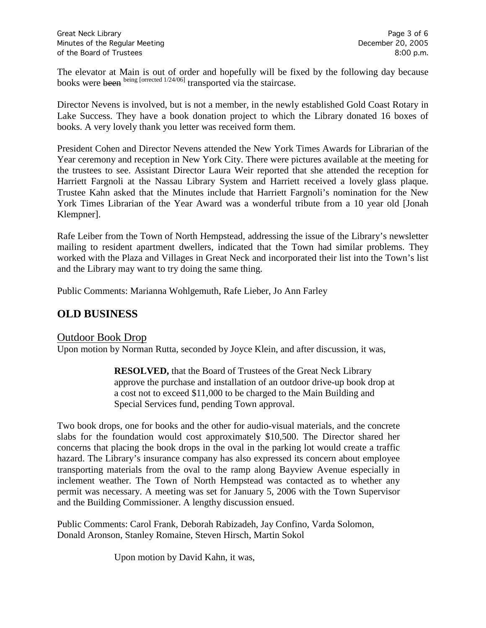The elevator at Main is out of order and hopefully will be fixed by the following day because books were been being [orrected 1/24/06] transported via the staircase.

Director Nevens is involved, but is not a member, in the newly established Gold Coast Rotary in Lake Success. They have a book donation project to which the Library donated 16 boxes of books. A very lovely thank you letter was received form them.

President Cohen and Director Nevens attended the New York Times Awards for Librarian of the Year ceremony and reception in New York City. There were pictures available at the meeting for the trustees to see. Assistant Director Laura Weir reported that she attended the reception for Harriett Fargnoli at the Nassau Library System and Harriett received a lovely glass plaque. Trustee Kahn asked that the Minutes include that Harriett Fargnoli's nomination for the New York Times Librarian of the Year Award was a wonderful tribute from a 10 year old [Jonah Klempner].

Rafe Leiber from the Town of North Hempstead, addressing the issue of the Library's newsletter mailing to resident apartment dwellers, indicated that the Town had similar problems. They worked with the Plaza and Villages in Great Neck and incorporated their list into the Town's list and the Library may want to try doing the same thing.

Public Comments: Marianna Wohlgemuth, Rafe Lieber, Jo Ann Farley

# **OLD BUSINESS**

# Outdoor Book Drop

Upon motion by Norman Rutta, seconded by Joyce Klein, and after discussion, it was,

**RESOLVED,** that the Board of Trustees of the Great Neck Library approve the purchase and installation of an outdoor drive-up book drop at a cost not to exceed \$11,000 to be charged to the Main Building and Special Services fund, pending Town approval.

Two book drops, one for books and the other for audio-visual materials, and the concrete slabs for the foundation would cost approximately \$10,500. The Director shared her concerns that placing the book drops in the oval in the parking lot would create a traffic hazard. The Library's insurance company has also expressed its concern about employee transporting materials from the oval to the ramp along Bayview Avenue especially in inclement weather. The Town of North Hempstead was contacted as to whether any permit was necessary. A meeting was set for January 5, 2006 with the Town Supervisor and the Building Commissioner. A lengthy discussion ensued.

Public Comments: Carol Frank, Deborah Rabizadeh, Jay Confino, Varda Solomon, Donald Aronson, Stanley Romaine, Steven Hirsch, Martin Sokol

Upon motion by David Kahn, it was,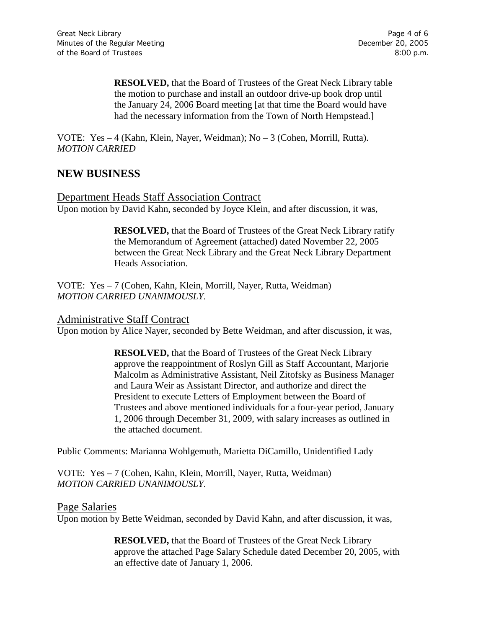**RESOLVED,** that the Board of Trustees of the Great Neck Library table the motion to purchase and install an outdoor drive-up book drop until the January 24, 2006 Board meeting [at that time the Board would have had the necessary information from the Town of North Hempstead.]

VOTE:Yes – 4 (Kahn, Klein, Nayer, Weidman); No – 3 (Cohen, Morrill, Rutta). *MOTION CARRIED*

# **NEW BUSINESS**

Department Heads Staff Association Contract Upon motion by David Kahn, seconded by Joyce Klein, and after discussion, it was,

> **RESOLVED,** that the Board of Trustees of the Great Neck Library ratify the Memorandum of Agreement (attached) dated November 22, 2005 between the Great Neck Library and the Great Neck Library Department Heads Association.

VOTE:Yes – 7 (Cohen, Kahn, Klein, Morrill, Nayer, Rutta, Weidman) *MOTION CARRIED UNANIMOUSLY.*

#### Administrative Staff Contract

Upon motion by Alice Nayer, seconded by Bette Weidman, and after discussion, it was,

**RESOLVED,** that the Board of Trustees of the Great Neck Library approve the reappointment of Roslyn Gill as Staff Accountant, Marjorie Malcolm as Administrative Assistant, Neil Zitofsky as Business Manager and Laura Weir as Assistant Director, and authorize and direct the President to execute Letters of Employment between the Board of Trustees and above mentioned individuals for a four-year period, January 1, 2006 through December 31, 2009, with salary increases as outlined in the attached document.

Public Comments: Marianna Wohlgemuth, Marietta DiCamillo, Unidentified Lady

VOTE:Yes – 7 (Cohen, Kahn, Klein, Morrill, Nayer, Rutta, Weidman) *MOTION CARRIED UNANIMOUSLY.*

#### Page Salaries

Upon motion by Bette Weidman, seconded by David Kahn, and after discussion, it was,

**RESOLVED,** that the Board of Trustees of the Great Neck Library approve the attached Page Salary Schedule dated December 20, 2005, with an effective date of January 1, 2006.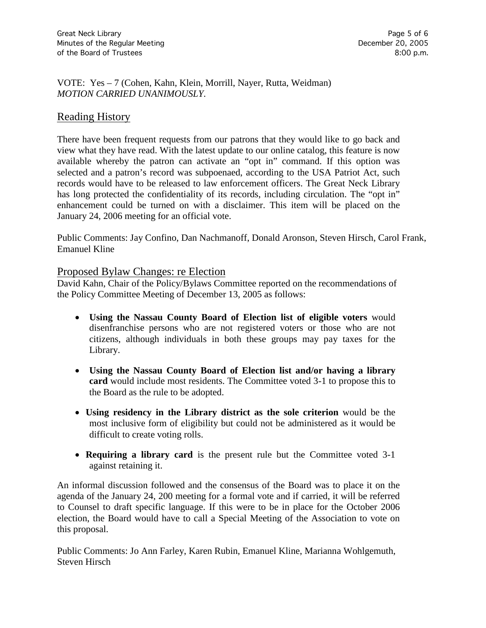VOTE:Yes – 7 (Cohen, Kahn, Klein, Morrill, Nayer, Rutta, Weidman) *MOTION CARRIED UNANIMOUSLY.*

# Reading History

There have been frequent requests from our patrons that they would like to go back and view what they have read. With the latest update to our online catalog, this feature is now available whereby the patron can activate an "opt in" command. If this option was selected and a patron's record was subpoenaed, according to the USA Patriot Act, such records would have to be released to law enforcement officers. The Great Neck Library has long protected the confidentiality of its records, including circulation. The "opt in" enhancement could be turned on with a disclaimer. This item will be placed on the January 24, 2006 meeting for an official vote.

Public Comments: Jay Confino, Dan Nachmanoff, Donald Aronson, Steven Hirsch, Carol Frank, Emanuel Kline

#### Proposed Bylaw Changes: re Election

David Kahn, Chair of the Policy/Bylaws Committee reported on the recommendations of the Policy Committee Meeting of December 13, 2005 as follows:

- **Using the Nassau County Board of Election list of eligible voters** would disenfranchise persons who are not registered voters or those who are not citizens, although individuals in both these groups may pay taxes for the Library.
- **Using the Nassau County Board of Election list and/or having a library card** would include most residents. The Committee voted 3-1 to propose this to the Board as the rule to be adopted.
- **Using residency in the Library district as the sole criterion** would be the most inclusive form of eligibility but could not be administered as it would be difficult to create voting rolls.
- **Requiring a library card** is the present rule but the Committee voted 3-1 against retaining it.

An informal discussion followed and the consensus of the Board was to place it on the agenda of the January 24, 200 meeting for a formal vote and if carried, it will be referred to Counsel to draft specific language. If this were to be in place for the October 2006 election, the Board would have to call a Special Meeting of the Association to vote on this proposal.

Public Comments: Jo Ann Farley, Karen Rubin, Emanuel Kline, Marianna Wohlgemuth, Steven Hirsch